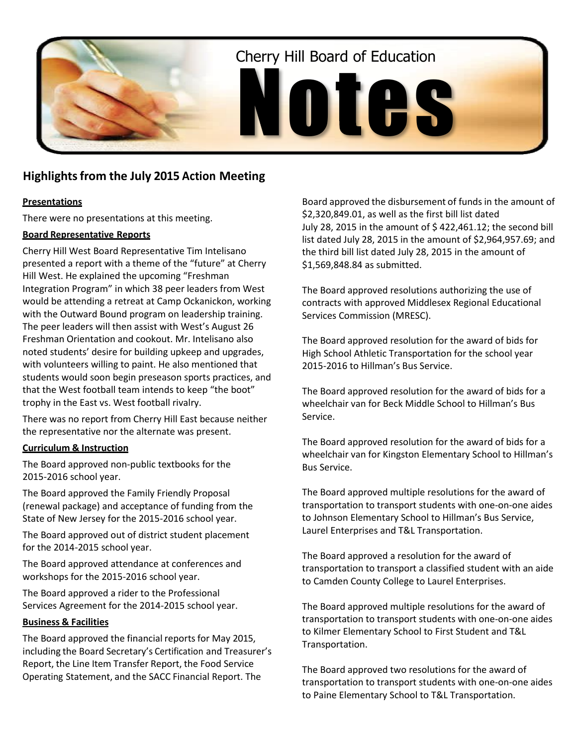

# **Highlightsfrom the July 2015 Action Meeting**

#### **Presentations**

There were no presentations at this meeting.

#### **Board Representative Reports**

Cherry Hill West Board Representative Tim Intelisano presented a report with a theme of the "future" at Cherry Hill West. He explained the upcoming "Freshman Integration Program" in which 38 peer leaders from West would be attending a retreat at Camp Ockanickon, working with the Outward Bound program on leadership training. The peer leaders will then assist with West's August 26 Freshman Orientation and cookout. Mr. Intelisano also noted students' desire for building upkeep and upgrades, with volunteers willing to paint. He also mentioned that students would soon begin preseason sports practices, and that the West football team intends to keep "the boot" trophy in the East vs. West football rivalry.

There was no report from Cherry Hill East because neither the representative nor the alternate was present.

#### **Curriculum & Instruction**

The Board approved non-public textbooks for the 2015-2016 school year.

The Board approved the Family Friendly Proposal (renewal package) and acceptance of funding from the State of New Jersey for the 2015-2016 school year.

The Board approved out of district student placement for the 2014-2015 school year.

The Board approved attendance at conferences and workshops for the 2015-2016 school year.

The Board approved a rider to the Professional Services Agreement for the 2014-2015 school year.

#### **Business & Facilities**

The Board approved the financial reports for May 2015, including the Board Secretary's Certification and Treasurer's Report, the Line Item Transfer Report, the Food Service Operating Statement, and the SACC Financial Report. The

Board approved the disbursement of funds in the amount of \$2,320,849.01, as well as the first bill list dated July 28, 2015 in the amount of \$ 422,461.12; the second bill list dated July 28, 2015 in the amount of \$2,964,957.69; and the third bill list dated July 28, 2015 in the amount of \$1,569,848.84 as submitted.

The Board approved resolutions authorizing the use of contracts with approved Middlesex Regional Educational Services Commission (MRESC).

The Board approved resolution for the award of bids for High School Athletic Transportation for the school year 2015-2016 to Hillman's Bus Service.

The Board approved resolution for the award of bids for a wheelchair van for Beck Middle School to Hillman's Bus Service.

The Board approved resolution for the award of bids for a wheelchair van for Kingston Elementary School to Hillman's Bus Service.

The Board approved multiple resolutions for the award of transportation to transport students with one-on-one aides to Johnson Elementary School to Hillman's Bus Service, Laurel Enterprises and T&L Transportation.

The Board approved a resolution for the award of transportation to transport a classified student with an aide to Camden County College to Laurel Enterprises.

The Board approved multiple resolutions for the award of transportation to transport students with one-on-one aides to Kilmer Elementary School to First Student and T&L Transportation.

The Board approved two resolutions for the award of transportation to transport students with one-on-one aides to Paine Elementary School to T&L Transportation.